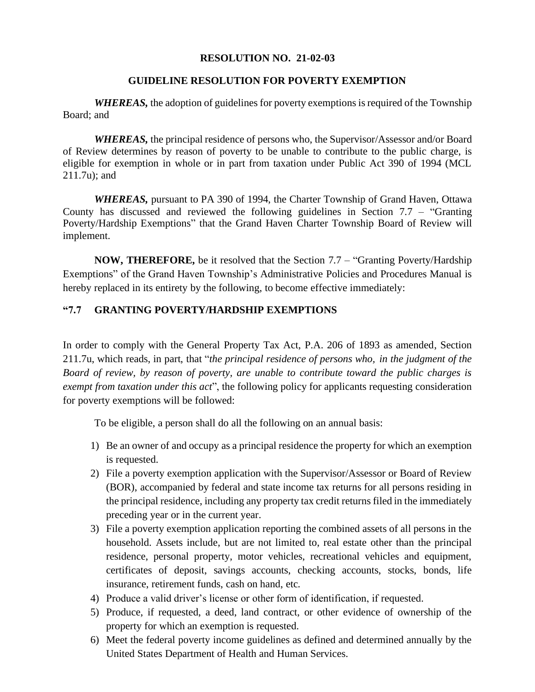## **RESOLUTION NO. 21-02-03**

## **GUIDELINE RESOLUTION FOR POVERTY EXEMPTION**

*WHEREAS,* the adoption of guidelines for poverty exemptions is required of the Township Board; and

*WHEREAS,* the principal residence of persons who, the Supervisor/Assessor and/or Board of Review determines by reason of poverty to be unable to contribute to the public charge, is eligible for exemption in whole or in part from taxation under Public Act 390 of 1994 (MCL 211.7u); and

*WHEREAS,* pursuant to PA 390 of 1994, the Charter Township of Grand Haven, Ottawa County has discussed and reviewed the following guidelines in Section 7.7 – "Granting Poverty/Hardship Exemptions" that the Grand Haven Charter Township Board of Review will implement.

**NOW, THEREFORE,** be it resolved that the Section 7.7 – "Granting Poverty/Hardship Exemptions" of the Grand Haven Township's Administrative Policies and Procedures Manual is hereby replaced in its entirety by the following, to become effective immediately:

## **"7.7 GRANTING POVERTY/HARDSHIP EXEMPTIONS**

In order to comply with the General Property Tax Act, P.A. 206 of 1893 as amended, Section 211.7u, which reads, in part, that "*the principal residence of persons who, in the judgment of the Board of review, by reason of poverty, are unable to contribute toward the public charges is exempt from taxation under this act*", the following policy for applicants requesting consideration for poverty exemptions will be followed:

To be eligible, a person shall do all the following on an annual basis:

- 1) Be an owner of and occupy as a principal residence the property for which an exemption is requested.
- 2) File a poverty exemption application with the Supervisor/Assessor or Board of Review (BOR), accompanied by federal and state income tax returns for all persons residing in the principal residence, including any property tax credit returns filed in the immediately preceding year or in the current year.
- 3) File a poverty exemption application reporting the combined assets of all persons in the household. Assets include, but are not limited to, real estate other than the principal residence, personal property, motor vehicles, recreational vehicles and equipment, certificates of deposit, savings accounts, checking accounts, stocks, bonds, life insurance, retirement funds, cash on hand, etc.
- 4) Produce a valid driver's license or other form of identification, if requested.
- 5) Produce, if requested, a deed, land contract, or other evidence of ownership of the property for which an exemption is requested.
- 6) Meet the federal poverty income guidelines as defined and determined annually by the United States Department of Health and Human Services.